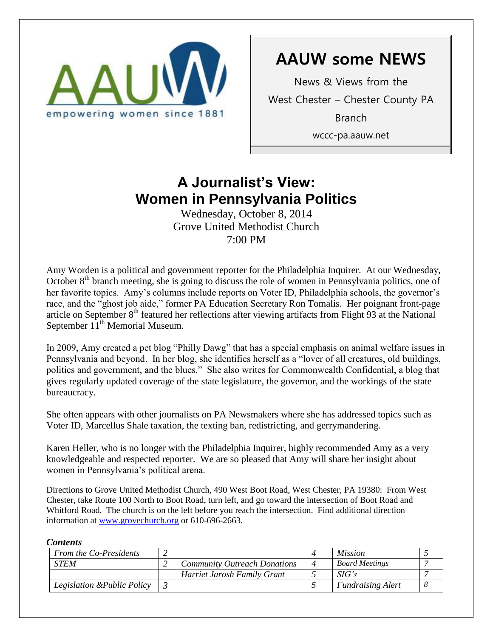

# **AAUW some NEWS**

News & Views from the West Chester – Chester County PA Branch wccc-pa.aauw.net

# **A Journalist's View: Women in Pennsylvania Politics**

Wednesday, October 8, 2014 Grove United Methodist Church 7:00 PM

Amy Worden is a political and government reporter for the Philadelphia Inquirer. At our Wednesday, October  $8<sup>th</sup>$  branch meeting, she is going to discuss the role of women in Pennsylvania politics, one of her favorite topics. Amy's columns include reports on Voter ID, Philadelphia schools, the governor's race, and the "ghost job aide," former PA Education Secretary Ron Tomalis. Her poignant front-page article on September 8<sup>th</sup> featured her reflections after viewing artifacts from Flight 93 at the National September  $11<sup>th</sup>$  Memorial Museum.

In 2009, Amy created a pet blog "Philly Dawg" that has a special emphasis on animal welfare issues in Pennsylvania and beyond. In her blog, she identifies herself as a "lover of all creatures, old buildings, politics and government, and the blues." She also writes for Commonwealth Confidential, a blog that gives regularly updated coverage of the state legislature, the governor, and the workings of the state bureaucracy.

She often appears with other journalists on PA Newsmakers where she has addressed topics such as Voter ID, Marcellus Shale taxation, the texting ban, redistricting, and gerrymandering.

Karen Heller, who is no longer with the Philadelphia Inquirer, highly recommended Amy as a very knowledgeable and respected reporter. We are so pleased that Amy will share her insight about women in Pennsylvania's political arena.

Directions to Grove United Methodist Church, 490 West Boot Road, West Chester, PA 19380: From West Chester, take Route 100 North to Boot Road, turn left, and go toward the intersection of Boot Road and Whitford Road. The church is on the left before you reach the intersection. Find additional direction information at [www.grovechurch.org](http://www.grovechurch.org/) or 610-696-2663.

### *Contents*

| From the Co-Presidents      |                                     |                          | <i>Mission</i>           |  |
|-----------------------------|-------------------------------------|--------------------------|--------------------------|--|
| <b>STEM</b>                 | <b>Community Outreach Donations</b> | $\boldsymbol{\varDelta}$ | <b>Board Meetings</b>    |  |
|                             | Harriet Jarosh Family Grant         |                          | SIG's                    |  |
| Legislation & Public Policy |                                     |                          | <b>Fundraising Alert</b> |  |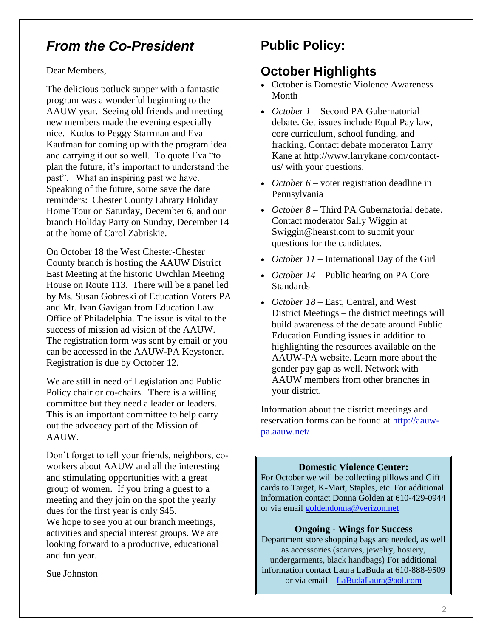## *From the Co-President*

Dear Members,

The delicious potluck supper with a fantastic program was a wonderful beginning to the AAUW year. Seeing old friends and meeting new members made the evening especially nice. Kudos to Peggy Starrman and Eva Kaufman for coming up with the program idea and carrying it out so well. To quote Eva "to plan the future, it's important to understand the past". What an inspiring past we have. Speaking of the future, some save the date reminders: Chester County Library Holiday Home Tour on Saturday, December 6, and our branch Holiday Party on Sunday, December 14 at the home of Carol Zabriskie.

On October 18 the West Chester-Chester County branch is hosting the AAUW District East Meeting at the historic Uwchlan Meeting House on Route 113. There will be a panel led by Ms. Susan Gobreski of Education Voters PA and Mr. Ivan Gavigan from Education Law Office of Philadelphia. The issue is vital to the success of mission ad vision of the AAUW. The registration form was sent by email or you can be accessed in the AAUW-PA Keystoner. Registration is due by October 12.

We are still in need of Legislation and Public Policy chair or co-chairs. There is a willing committee but they need a leader or leaders. This is an important committee to help carry out the advocacy part of the Mission of AAUW.

Don't forget to tell your friends, neighbors, coworkers about AAUW and all the interesting and stimulating opportunities with a great group of women. If you bring a guest to a meeting and they join on the spot the yearly dues for the first year is only \$45.

We hope to see you at our branch meetings, activities and special interest groups. We are looking forward to a productive, educational and fun year.

Sue Johnston

## **Public Policy:**

## **October Highlights**

- October is Domestic Violence Awareness Month
- *October 1* Second PA Gubernatorial debate. Get issues include Equal Pay law, core curriculum, school funding, and fracking. Contact debate moderator Larry Kane at [http://www.larrykane.com/contact](http://www.larrykane.com/contact-us/)[us/](http://www.larrykane.com/contact-us/) with your questions.
- October 6 voter registration deadline in Pennsylvania
- *October 8* Third PA Gubernatorial debate. Contact moderator Sally Wiggin at [Swiggin@hearst.com](mailto:Swiggin@hearst.com) to submit your questions for the candidates.
- *October 11* International Day of the Girl
- *October 14* Public hearing on PA Core **Standards**
- *October 18* East, Central, and West District Meetings – the district meetings will build awareness of the debate around Public Education Funding issues in addition to highlighting the resources available on the AAUW-PA website. Learn more about the gender pay gap as well. Network with AAUW members from other branches in your district.

Information about the district meetings and reservation forms can be found at [http://aauw](http://aauw-pa.aauw.net/)[pa.aauw.net/](http://aauw-pa.aauw.net/)

### **Domestic Violence Center:**

For October we will be collecting pillows and Gift cards to Target, K-Mart, Staples, etc. For additional information contact Donna Golden at 610-429-0944 or via email [goldendonna@verizon.net](mailto:goldendonna@verizon.net)

### **Ongoing - Wings for Success**

Department store shopping bags are needed, as well as accessories (scarves, jewelry, hosiery, undergarments, black handbags) For additional information contact Laura LaBuda at 610-888-9509 or via email – [LaBudaLaura@aol.com](mailto:LaBudaLaura@aol.com)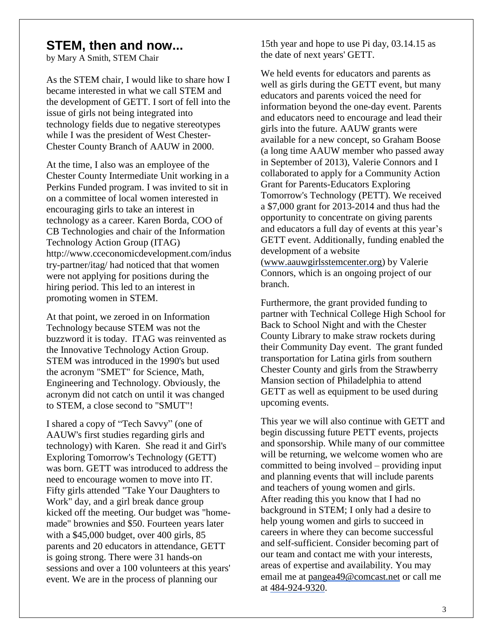## **STEM, then and now...**

by Mary A Smith, STEM Chair

As the STEM chair, I would like to share how I became interested in what we call STEM and the development of GETT. I sort of fell into the issue of girls not being integrated into technology fields due to negative stereotypes while I was the president of West Chester-Chester County Branch of AAUW in 2000.

At the time, I also was an employee of the Chester County Intermediate Unit working in a Perkins Funded program. I was invited to sit in on a committee of local women interested in encouraging girls to take an interest in technology as a career. Karen Borda, COO of CB Technologies and chair of the Information Technology Action Group (ITAG) [http://www.cceconomicdevelopment.com/indus](http://www.cceconomicdevelopment.com/industry-partner/itag/) [try-partner/itag/](http://www.cceconomicdevelopment.com/industry-partner/itag/) had noticed that that women were not applying for positions during the hiring period. This led to an interest in promoting women in STEM.

At that point, we zeroed in on Information Technology because STEM was not the buzzword it is today. ITAG was reinvented as the Innovative Technology Action Group. STEM was introduced in the 1990's but used the acronym "SMET" for Science, Math, Engineering and Technology. Obviously, the acronym did not catch on until it was changed to STEM, a close second to "SMUT"!

I shared a copy of "Tech Savvy" (one of AAUW's first studies regarding girls and technology) with Karen. She read it and Girl's Exploring Tomorrow's Technology (GETT) was born. GETT was introduced to address the need to encourage women to move into IT. Fifty girls attended "Take Your Daughters to Work" day, and a girl break dance group kicked off the meeting. Our budget was "homemade" brownies and \$50. Fourteen years later with a \$45,000 budget, over 400 girls, 85 parents and 20 educators in attendance, GETT is going strong. There were 31 hands-on sessions and over a 100 volunteers at this years' event. We are in the process of planning our

15th year and hope to use Pi day, 03.14.15 as the date of next years' GETT.

We held events for educators and parents as well as girls during the GETT event, but many educators and parents voiced the need for information beyond the one-day event. Parents and educators need to encourage and lead their girls into the future. AAUW grants were available for a new concept, so Graham Boose (a long time AAUW member who passed away in September of 2013), Valerie Connors and I collaborated to apply for a Community Action Grant for Parents-Educators Exploring Tomorrow's Technology (PETT). We received a \$7,000 grant for 2013-2014 and thus had the opportunity to concentrate on giving parents and educators a full day of events at this year's GETT event. Additionally, funding enabled the development of a website [\(www.aauwgirlsstemcenter.org\)](http://www.aauwgirlsstemcenter.org/) by Valerie Connors, which is an ongoing project of our branch.

Furthermore, the grant provided funding to partner with Technical College High School for Back to School Night and with the Chester County Library to make straw rockets during their Community Day event. The grant funded transportation for Latina girls from southern Chester County and girls from the Strawberry Mansion section of Philadelphia to attend GETT as well as equipment to be used during upcoming events.

This year we will also continue with GETT and begin discussing future PETT events, projects and sponsorship. While many of our committee will be returning, we welcome women who are committed to being involved – providing input and planning events that will include parents and teachers of young women and girls. After reading this you know that I had no background in STEM; I only had a desire to help young women and girls to succeed in careers in where they can become successful and self-sufficient. Consider becoming part of our team and contact me with your interests, areas of expertise and availability. You may email me at [pangea49@comcast.net](mailto:pangea49@comcast.net) or call me at 484-924-9320.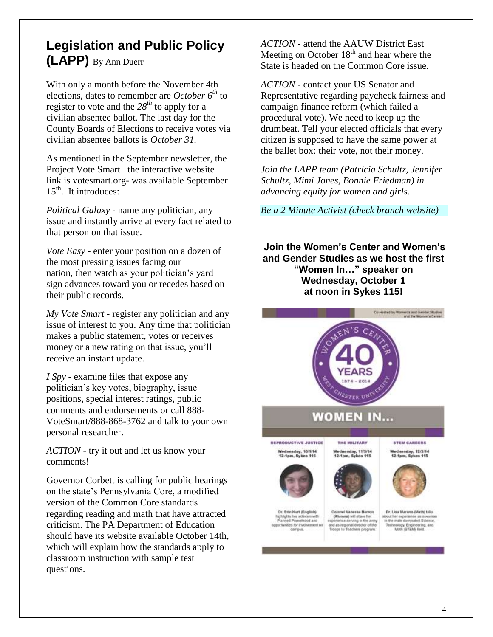## **Legislation and Public Policy (LAPP)** By Ann Duerr

With only a month before the November 4th elections, dates to remember are *October 6th* to register to vote and the  $28^{th}$  to apply for a civilian absentee ballot. The last day for the County Boards of Elections to receive votes via civilian absentee ballots is *October 31.*

As mentioned in the September newsletter, the Project Vote Smart –the interactive website link is votesmart.org- was available September  $15<sup>th</sup>$ . It introduces:

*Political Galaxy* - name any politician, any issue and instantly arrive at every fact related to that person on that issue.

*Vote Easy* - enter your position on a dozen of the most pressing issues facing our nation, then watch as your politician's yard sign advances toward you or recedes based on their public records.

*My Vote Smart* - register any politician and any issue of interest to you. Any time that politician makes a public statement, votes or receives money or a new rating on that issue, you'll receive an instant update.

*I Spy* - examine files that expose any politician's key votes, biography, issue positions, special interest ratings, public comments and endorsements or call 888- VoteSmart/888-868-3762 and talk to your own personal researcher.

*ACTION* - try it out and let us know your comments!

Governor Corbett is calling for public hearings on the state's Pennsylvania Core, a modified version of the Common Core standards regarding reading and math that have attracted criticism. The PA Department of Education should have its website available October 14th, which will explain how the standards apply to classroom instruction with sample test questions.

*ACTION* - attend the AAUW District East Meeting on October  $18<sup>th</sup>$  and hear where the State is headed on the Common Core issue.

*ACTION* - contact your US Senator and Representative regarding paycheck fairness and campaign finance reform (which failed a procedural vote). We need to keep up the drumbeat. Tell your elected officials that every citizen is supposed to have the same power at the ballet box: their vote, not their money.

*Join the LAPP team (Patricia Schultz, Jennifer Schultz, Mimi Jones, Bonnie Friedman) in advancing equity for women and girls.* 

*Be a 2 Minute Activist (check branch website)*

**Join the Women's Center and Women's and Gender Studies as we host the first "Women In…" speaker on Wednesday, October 1 at noon in Sykes 115!**

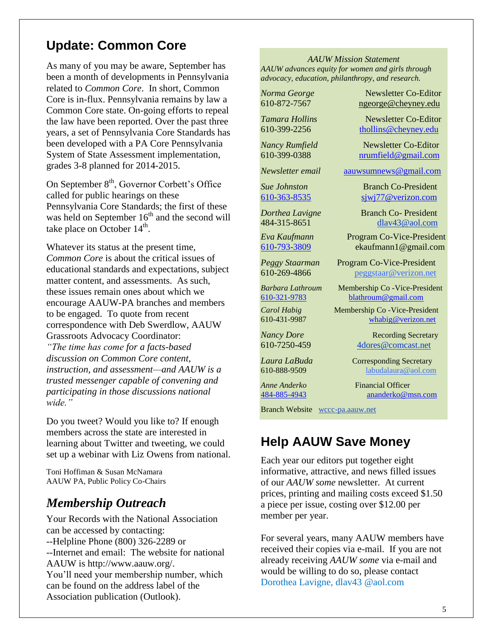## **Update: Common Core**

As many of you may be aware, September has been a month of developments in Pennsylvania related to *Common Core*. In short, Common Core is in-flux. Pennsylvania remains by law a Common Core state. On-going efforts to repeal the law have been reported. Over the past three years, a set of Pennsylvania Core Standards has been developed with a PA Core Pennsylvania System of State Assessment implementation, grades 3-8 planned for 2014-2015.

On September 8<sup>th</sup>, Governor Corbett's Office called for public hearings on these Pennsylvania Core Standards; the first of these was held on September  $16<sup>th</sup>$  and the second will take place on October  $14<sup>th</sup>$ .

Whatever its status at the present time, *Common Core* is about the critical issues of educational standards and expectations, subject matter content, and assessments. As such, these issues remain ones about which we encourage AAUW-PA branches and members to be engaged. To quote from recent correspondence with Deb Swerdlow, AAUW Grassroots Advocacy Coordinator: *"The time has come for a facts-based discussion on Common Core content, instruction, and assessment—and AAUW is a trusted messenger capable of convening and participating in those discussions national wide."* 

Do you tweet? Would you like to? If enough members across the state are interested in learning about Twitter and tweeting, we could set up a webinar with Liz Owens from national.

Toni Hoffiman & Susan McNamara AAUW PA, Public Policy Co-Chairs

## *Membership Outreach*

Your Records with the National Association can be accessed by contacting: --Helpline Phone (800) 326-2289 or --Internet and email: The website for national AAUW is http://www.aauw.org/. You'll need your membership number, which can be found on the address label of the Association publication (Outlook).

#### *AAUW Mission Statement AAUW advances equity for women and girls through advocacy, education, philanthropy, and research.*

*Norma George* Newsletter Co-Editor 610-872-7567 [ngeorge@cheyney.edu](mailto:ngeorge@cheyney.ecu)

*Tamara Hollins* Newsletter Co-Editor 610-399-2256 [thollins@cheyney.edu](mailto:thollins@cheyney.edu)

*Nancy Rumfield* Newsletter Co-Editor 610-399-0388 [nrumfield@gmail.com](mailto:nrumfield@gmail.com)

*Newsletter email* [aauwsumnews@gmail.com](mailto:aauwsumnews@gmail.com)

*Sue Johnston* Branch Co-President [610-363-8535](mailto:610-363-8535) [sjwj77@verizon.com](mailto:sjwj77@verizon.com) 

*Dorthea Lavigne* Branch Co- President 484-315-8651 [dlav43@aol.com](mailto:franpierce@verizon.net)

*Eva Kaufmann* Program Co-Vice-President [610-793-3809](mailto:610-793-3809) ekaufmann1@gmail.com

*Peggy Staarman* Program Co-Vice-President 610-269-4866 [peggstaar@verizon.net](mailto:4dores@comcast.net)

*Barbara Lathroum* Membership Co -Vice-President [610-321-9783](mailto:610-321-9783) [blathroum@gmail.com](mailto:blathroum@gmail.com)

*Carol Habig* Membership Co - Vice-President 610-431-9987 [whabig@verizon.net](mailto:mjschultz46@hotmail.com)

*Nancy Dore* Recording Secretary 610-7250-459 4dores@comcast.net

*Laura LaBuda* **Corresponding Secretary** 610-888-9509 labudalaura@aol.com

*Anne Anderko* Financial Officer [484-885-4943](mailto:484-885-4943) [ananderko@msn.com](mailto:ananderko@msn.com)

Branch Website [wccc-pa.aauw.net](http://wccc-pa.aauw.net/)

## **Help AAUW Save Money**

Each year our editors put together eight informative, attractive, and news filled issues of our *AAUW some* newsletter. At current prices, printing and mailing costs exceed \$1.50 a piece per issue, costing over \$12.00 per member per year.

For several years, many AAUW members have received their copies via e-mail. If you are not already receiving *AAUW some* via e-mail and would be willing to do so, please contact Dorothea Lavigne, dlav43 @aol.com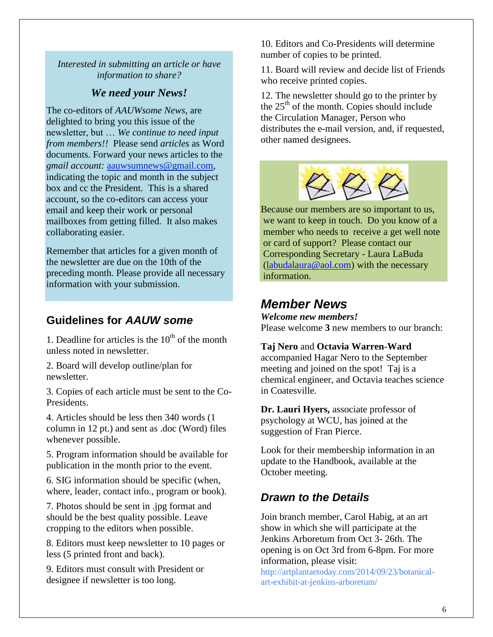*Interested in submitting an article or have information to share?*

### *We need your News!*

The co-editors of *AAUWsome News*, are delighted to bring you this issue of the newsletter, but … *We continue to need input from members!!* Please send *articles* as Word documents. Forward your news articles to the *gmail account:* [aauwsumnews@gmail.com,](mailto:aauwsum@gmail.com) indicating the topic and month in the subject box and cc the President. This is a shared account, so the co-editors can access your email and keep their work or personal mailboxes from getting filled. It also makes collaborating easier.

Remember that articles for a given month of the newsletter are due on the 10th of the preceding month*.* Please provide all necessary information with your submission.

## **Guidelines for** *AAUW some*

1. Deadline for articles is the  $10<sup>th</sup>$  of the month unless noted in newsletter.

2. Board will develop outline/plan for newsletter.

3. Copies of each article must be sent to the Co-Presidents.

4. Articles should be less then 340 words (1 column in 12 pt.) and sent as .doc (Word) files whenever possible.

5. Program information should be available for publication in the month prior to the event.

6. SIG information should be specific (when, where, leader, contact info., program or book).

7. Photos should be sent in .jpg format and should be the best quality possible. Leave cropping to the editors when possible.

8. Editors must keep newsletter to 10 pages or less (5 printed front and back).

9. Editors must consult with President or designee if newsletter is too long.

10. Editors and Co-Presidents will determine number of copies to be printed.

11. Board will review and decide list of Friends who receive printed copies.

12. The newsletter should go to the printer by the  $25<sup>th</sup>$  of the month. Copies should include the Circulation Manager, Person who distributes the e-mail version, and, if requested, other named designees.



Because our members are so important to us, we want to keep in touch. Do you know of a member who needs to receive a get well note or card of support? Please contact our Corresponding Secretary - Laura LaBuda [\(labudalaura@aol.com\)](mailto:labudalaura@aol.com) with the necessary information.

## *Member News*

*Welcome new members!* Please welcome **3** new members to our branch:

#### **Taj Nero** and **Octavia Warren-Ward**

accompanied Hagar Nero to the September meeting and joined on the spot! Taj is a chemical engineer, and Octavia teaches science in Coatesville.

**Dr. Lauri Hyers,** associate professor of psychology at WCU, has joined at the suggestion of Fran Pierce.

Look for their membership information in an update to the Handbook, available at the October meeting.

### *Drawn to the Details*

Join branch member, Carol Habig, at an art show in which she will participate at the Jenkins Arboretum from Oct 3- 26th. The opening is on Oct 3rd from 6-8pm. For more information, please visit:

[http://artplantaetoday.com/2014/09/23/botanical](http://artplantaetoday.com/2014/09/23/botanical-art-exhibit-at-jenkins-arboretum/)[art-exhibit-at-jenkins-arboretum/](http://artplantaetoday.com/2014/09/23/botanical-art-exhibit-at-jenkins-arboretum/)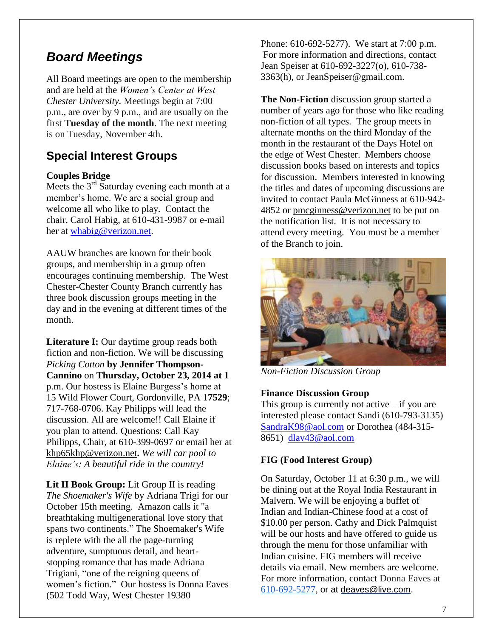## *Board Meetings*

All Board meetings are open to the membership and are held at the *Women's Center at West Chester University.* Meetings begin at 7:00 p.m., are over by 9 p.m., and are usually on the first **Tuesday of the month**. The next meeting is on Tuesday, November 4th.

## **Special Interest Groups**

### **Couples Bridge**

Meets the  $3<sup>rd</sup>$  Saturday evening each month at a member's home. We are a social group and welcome all who like to play. Contact the chair, Carol Habig, at 610-431-9987 or e-mail her at [whabig@verizon.net.](mailto:whabig@verizon.net)

AAUW branches are known for their book groups, and membership in a group often encourages continuing membership. The West Chester-Chester County Branch currently has three book discussion groups meeting in the day and in the evening at different times of the month.

**Literature I:** Our daytime group reads both fiction and non-fiction. We will be discussing *Picking Cotton* **by Jennifer Thompson-Cannino** on **Thursday, October 23, 2014 at 1** p.m. Our hostess is Elaine Burgess's home at 15 Wild Flower Court, Gordonville, PA 1**7529**; 717-768-0706. Kay Philipps will lead the discussion. All are welcome!! Call Elaine if you plan to attend. Questions: Call Kay Philipps, Chair, at 610-399-0697 or email her at [khp65khp@verizon.net](mailto:khp65khp@verizon.net)**.** *We will car pool to Elaine's: A beautiful ride in the country!*

**Lit II Book Group:** Lit Group II is reading *The Shoemaker's Wife* by Adriana Trigi for our October 15th meeting. Amazon calls it "a breathtaking multigenerational love story that spans two continents." The Shoemaker's Wife is replete with the all the page-turning adventure, sumptuous detail, and heartstopping romance that has made Adriana Trigiani, "one of the reigning queens of women's fiction." Our hostess is Donna Eaves (502 Todd Way, West Chester 19380

Phone: 610-692-5277). We start at 7:00 p.m. For more information and directions, contact Jean Speiser at 610-692-3227(o), 610-738- 3363(h), or JeanSpeiser@gmail.com.

**The Non-Fiction** discussion group started a number of years ago for those who like reading non-fiction of all types. The group meets in alternate months on the third Monday of the month in the restaurant of the Days Hotel on the edge of West Chester. Members choose discussion books based on interests and topics for discussion. Members interested in knowing the titles and dates of upcoming discussions are invited to contact Paula McGinness at 610-942- 4852 or [pmcginness@verizon.net](mailto:pmcginness@verizon.net) to be put on the notification list. It is not necessary to attend every meeting. You must be a member of the Branch to join.



*Non-Fiction Discussion Group*

### **Finance Discussion Group**

This group is currently not active  $-$  if you are interested please contact Sandi (610-793-3135) [SandraK98@aol.com](mailto:SandraK98@aol.com) or Dorothea (484-315- 8651) [dlav43@aol.com](mailto:dlav43@aol.com)

### **FIG (Food Interest Group)**

On Saturday, October 11 at 6:30 p.m., we will be dining out at the Royal India Restaurant in Malvern. We will be enjoying a buffet of Indian and Indian-Chinese food at a cost of \$10.00 per person. Cathy and Dick Palmquist will be our hosts and have offered to guide us through the menu for those unfamiliar with Indian cuisine. FIG members will receive details via email. New members are welcome. For more information, contact Donna Eaves at 610-692-5277, or at [deaves@live.com.](mailto:deaves@live.com)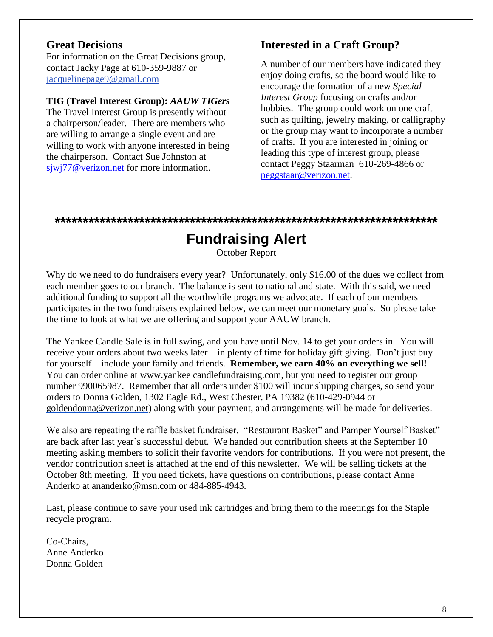### **Great Decisions**

For information on the Great Decisions group, contact Jacky Page at 610-359-9887 or [jacquelinepage9@gmail.com](mailto:jacquelinepage9@gmail.com)

### **TIG (Travel Interest Group):** *AAUW TIGers*

The Travel Interest Group is presently without a chairperson/leader. There are members who are willing to arrange a single event and are willing to work with anyone interested in being the chairperson. Contact Sue Johnston at [sjwj77@verizon.net](mailto:sjwj77@verizon.net) for more information.

## **Interested in a Craft Group?**

A number of our members have indicated they enjoy doing crafts, so the board would like to encourage the formation of a new *Special Interest Group* focusing on crafts and/or hobbies. The group could work on one craft such as quilting, jewelry making, or calligraphy or the group may want to incorporate a number of crafts. If you are interested in joining or leading this type of interest group, please contact Peggy Staarman 610-269-4866 or [peggstaar@verizon.net.](mailto:peggstaar@verizon.net)

#### **\*\*\*\*\*\*\*\*\*\*\*\*\*\*\*\*\*\*\*\*\*\*\*\*\*\*\*\*\*\*\*\*\*\*\*\*\*\*\*\*\*\*\*\*\*\*\*\*\*\*\*\*\*\*\*\*\*\*\*\*\*\*\*\*\*\*\*\***

# **Fundraising Alert**

October Report

Why do we need to do fundraisers every year? Unfortunately, only \$16.00 of the dues we collect from each member goes to our branch. The balance is sent to national and state. With this said, we need additional funding to support all the worthwhile programs we advocate. If each of our members participates in the two fundraisers explained below, we can meet our monetary goals. So please take the time to look at what we are offering and support your AAUW branch.

The Yankee Candle Sale is in full swing, and you have until Nov. 14 to get your orders in. You will receive your orders about two weeks later—in plenty of time for holiday gift giving. Don't just buy for yourself—include your family and friends. **Remember, we earn 40% on everything we sell!** You can order online at www.yankee candlefundraising.com, but you need to register our group number 990065987. Remember that all orders under \$100 will incur shipping charges, so send your orders to Donna Golden, 1302 Eagle Rd., West Chester, PA 19382 (610-429-0944 or [goldendonna@verizon.net\)](mailto:goldendonna@verizon.net) along with your payment, and arrangements will be made for deliveries.

We also are repeating the raffle basket fundraiser. "Restaurant Basket" and Pamper Yourself Basket" are back after last year's successful debut. We handed out contribution sheets at the September 10 meeting asking members to solicit their favorite vendors for contributions. If you were not present, the vendor contribution sheet is attached at the end of this newsletter. We will be selling tickets at the October 8th meeting. If you need tickets, have questions on contributions, please contact Anne Anderko at [ananderko@msn.com](mailto:ananderko@msn.com) or 484-885-4943.

Last, please continue to save your used ink cartridges and bring them to the meetings for the Staple recycle program.

Co-Chairs, Anne Anderko Donna Golden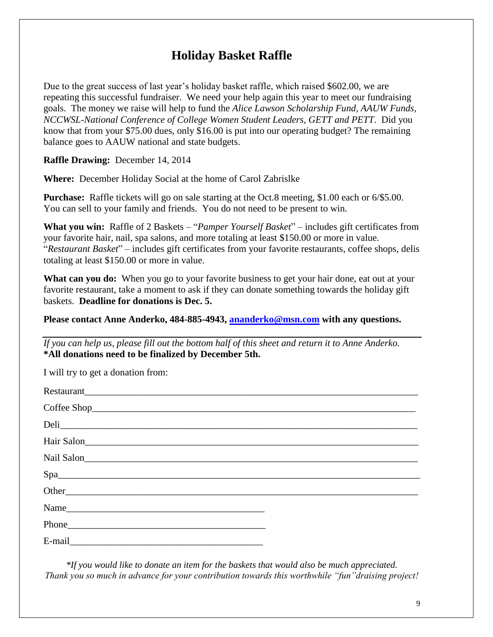## **Holiday Basket Raffle**

Due to the great success of last year's holiday basket raffle, which raised \$602.00, we are repeating this successful fundraiser. We need your help again this year to meet our fundraising goals. The money we raise will help to fund the *Alice Lawson Scholarship Fund, AAUW Funds, NCCWSL-National Conference of College Women Student Leaders, GETT and PETT*. Did you know that from your \$75.00 dues, only \$16.00 is put into our operating budget? The remaining balance goes to AAUW national and state budgets.

**Raffle Drawing:** December 14, 2014

**Where:** December Holiday Social at the home of Carol Zabrislke

**Purchase:** Raffle tickets will go on sale starting at the Oct.8 meeting, \$1.00 each or 6/\$5.00. You can sell to your family and friends. You do not need to be present to win.

**What you win:** Raffle of 2 Baskets – "*Pamper Yourself Basket*" – includes gift certificates from your favorite hair, nail, spa salons, and more totaling at least \$150.00 or more in value. "*Restaurant Basket*" – includes gift certificates from your favorite restaurants, coffee shops, delis totaling at least \$150.00 or more in value.

**What can you do:** When you go to your favorite business to get your hair done, eat out at your favorite restaurant, take a moment to ask if they can donate something towards the holiday gift baskets. **Deadline for donations is Dec. 5.**

### **Please contact Anne Anderko, 484-885-4943, [ananderko@msn.com](mailto:ananderko@msn.com) with any questions.**

*If you can help us, please fill out the bottom half of this sheet and return it to Anne Anderko.* **\*All donations need to be finalized by December 5th.**

| I will try to get a donation from:                                                                                                                                                                                             |  |
|--------------------------------------------------------------------------------------------------------------------------------------------------------------------------------------------------------------------------------|--|
|                                                                                                                                                                                                                                |  |
|                                                                                                                                                                                                                                |  |
|                                                                                                                                                                                                                                |  |
|                                                                                                                                                                                                                                |  |
|                                                                                                                                                                                                                                |  |
| Space and the set of the set of the set of the set of the set of the set of the set of the set of the set of the set of the set of the set of the set of the set of the set of the set of the set of the set of the set of the |  |
|                                                                                                                                                                                                                                |  |
|                                                                                                                                                                                                                                |  |
|                                                                                                                                                                                                                                |  |
| E-mail experience and the set of the set of the set of the set of the set of the set of the set of the set of the set of the set of the set of the set of the set of the set of the set of the set of the set of the set of th |  |

*\*If you would like to donate an item for the baskets that would also be much appreciated. Thank you so much in advance for your contribution towards this worthwhile "fun"draising project!*